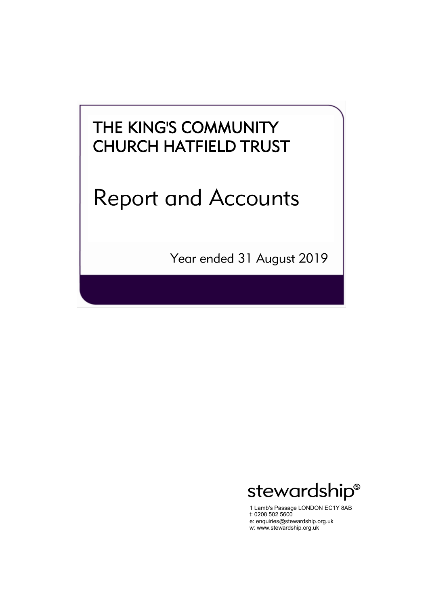# Report and Accounts

Year ended 31 August 2019



1 Lamb's Passage LONDON EC1Y 8AB t: 0208 502 5600 e: enquiries@stewardship.org.uk w: www.stewardship.org.uk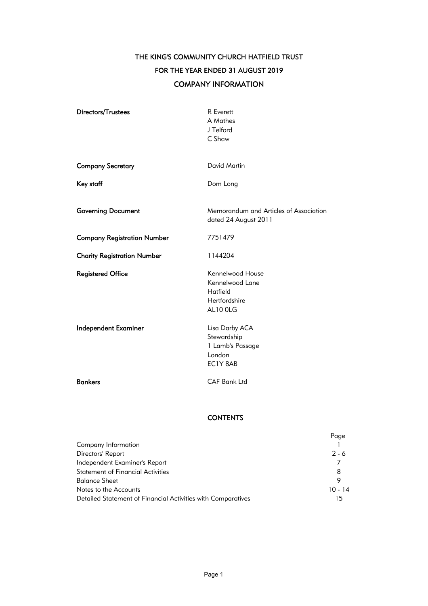THE KING'S COMMUNITY CHURCH HATFIELD TRUST FOR THE YEAR ENDED 31 AUGUST 2019 COMPANY INFORMATION

| Directors/Trustees                 | R Everett<br>A Mathes<br>J Telford<br>C Shaw                                 |
|------------------------------------|------------------------------------------------------------------------------|
| <b>Company Secretary</b>           | <b>David Martin</b>                                                          |
| Key staff                          | Dom Long                                                                     |
| <b>Governing Document</b>          | Memorandum and Articles of Association<br>dated 24 August 2011               |
| <b>Company Registration Number</b> | 7751479                                                                      |
| <b>Charity Registration Number</b> | 1144204                                                                      |
| <b>Registered Office</b>           | Kennelwood House<br>Kennelwood Lane<br>Hatfield<br>Hertfordshire<br>AL10 OLG |
| <b>Independent Examiner</b>        | Lisa Darby ACA<br>Stewardship<br>1 Lamb's Passage<br>London<br>EC1Y 8AB      |
| <b>Bankers</b>                     | <b>CAF Bank Ltd</b>                                                          |
|                                    |                                                                              |

### **CONTENTS**

|                                                              | Page      |
|--------------------------------------------------------------|-----------|
| Company Information                                          |           |
| Directors' Report                                            | $2 - 6$   |
| Independent Examiner's Report                                |           |
| <b>Statement of Financial Activities</b>                     | 8         |
| Balance Sheet                                                | o         |
| Notes to the Accounts                                        | $10 - 14$ |
| Detailed Statement of Financial Activities with Comparatives | 15        |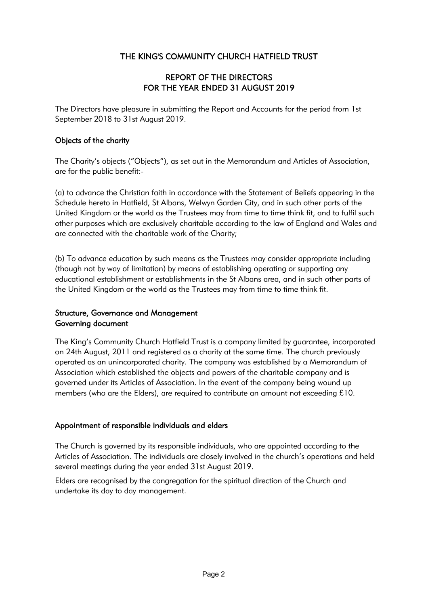### REPORT OF THE DIRECTORS FOR THE YEAR ENDED 31 AUGUST 2019

The Directors have pleasure in submitting the Report and Accounts for the period from 1st September 2018 to 31st August 2019.

### Objects of the charity

The Charity's objects ("Objects"), as set out in the Memorandum and Articles of Association, are for the public benefit:-

(a) to advance the Christian faith in accordance with the Statement of Beliefs appearing in the Schedule hereto in Hatfield, St Albans, Welwyn Garden City, and in such other parts of the United Kingdom or the world as the Trustees may from time to time think fit, and to fulfil such other purposes which are exclusively charitable according to the law of England and Wales and are connected with the charitable work of the Charity;

(b) To advance education by such means as the Trustees may consider appropriate including (though not by way of limitation) by means of establishing operating or supporting any educational establishment or establishments in the St Albans area, and in such other parts of the United Kingdom or the world as the Trustees may from time to time think fit.

### Structure, Governance and Management Governing document

The King's Community Church Hatfield Trust is a company limited by guarantee, incorporated on 24th August, 2011 and registered as a charity at the same time. The church previously operated as an unincorporated charity. The company was established by a Memorandum of Association which established the objects and powers of the charitable company and is governed under its Articles of Association. In the event of the company being wound up members (who are the Elders), are required to contribute an amount not exceeding £10.

### Appointment of responsible individuals and elders

The Church is governed by its responsible individuals, who are appointed according to the Articles of Association. The individuals are closely involved in the church's operations and held several meetings during the year ended 31st August 2019.

Elders are recognised by the congregation for the spiritual direction of the Church and undertake its day to day management.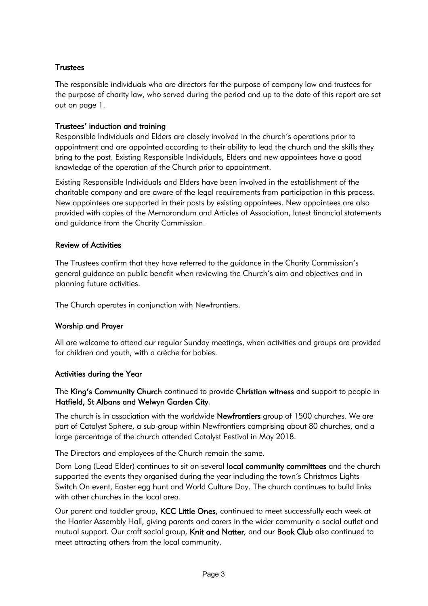### **Trustees**

The responsible individuals who are directors for the purpose of company law and trustees for the purpose of charity law, who served during the period and up to the date of this report are set out on page 1.

### Trustees' induction and training

Responsible Individuals and Elders are closely involved in the church's operations prior to appointment and are appointed according to their ability to lead the church and the skills they bring to the post. Existing Responsible Individuals, Elders and new appointees have a good knowledge of the operation of the Church prior to appointment.

Existing Responsible Individuals and Elders have been involved in the establishment of the charitable company and are aware of the legal requirements from participation in this process. New appointees are supported in their posts by existing appointees. New appointees are also provided with copies of the Memorandum and Articles of Association, latest financial statements and guidance from the Charity Commission.

### Review of Activities

The Trustees confirm that they have referred to the guidance in the Charity Commission's general guidance on public benefit when reviewing the Church's aim and objectives and in planning future activities.

The Church operates in conjunction with Newfrontiers.

### Worship and Prayer

All are welcome to attend our regular Sunday meetings, when activities and groups are provided for children and youth, with a crèche for babies.

### Activities during the Year

The King's Community Church continued to provide Christian witness and support to people in Hatfield, St Albans and Welwyn Garden City.

The church is in association with the worldwide Newfrontiers group of 1500 churches. We are part of Catalyst Sphere, a sub-group within Newfrontiers comprising about 80 churches, and a large percentage of the church attended Catalyst Festival in May 2018.

The Directors and employees of the Church remain the same.

Dom Long (Lead Elder) continues to sit on several **local community committees** and the church supported the events they organised during the year including the town's Christmas Lights Switch On event, Easter egg hunt and World Culture Day. The church continues to build links with other churches in the local area.

Our parent and toddler group, KCC Little Ones, continued to meet successfully each week at the Harrier Assembly Hall, giving parents and carers in the wider community a social outlet and mutual support. Our craft social group, Knit and Natter, and our Book Club also continued to meet attracting others from the local community.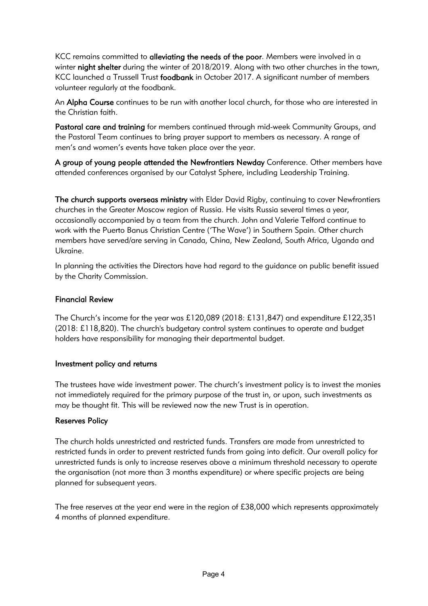KCC remains committed to alleviating the needs of the poor. Members were involved in a winter night shelter during the winter of 2018/2019. Along with two other churches in the town, KCC launched a Trussell Trust foodbank in October 2017. A significant number of members volunteer regularly at the foodbank.

An Alpha Course continues to be run with another local church, for those who are interested in the Christian faith.

Pastoral care and training for members continued through mid-week Community Groups, and the Pastoral Team continues to bring prayer support to members as necessary. A range of men's and women's events have taken place over the year.

A group of young people attended the Newfrontiers Newday Conference. Other members have attended conferences organised by our Catalyst Sphere, including Leadership Training.

The church supports overseas ministry with Elder David Rigby, continuing to cover Newfrontiers churches in the Greater Moscow region of Russia. He visits Russia several times a year, occasionally accompanied by a team from the church. John and Valerie Telford continue to work with the Puerto Banus Christian Centre ('The Wave') in Southern Spain. Other church members have served/are serving in Canada, China, New Zealand, South Africa, Uganda and Ukraine.

In planning the activities the Directors have had regard to the guidance on public benefit issued by the Charity Commission.

### Financial Review

The Church's income for the year was £120,089 (2018: £131,847) and expenditure £122,351 (2018: £118,820). The church's budgetary control system continues to operate and budget holders have responsibility for managing their departmental budget.

### Investment policy and returns

The trustees have wide investment power. The church's investment policy is to invest the monies not immediately required for the primary purpose of the trust in, or upon, such investments as may be thought fit. This will be reviewed now the new Trust is in operation.

### Reserves Policy

The church holds unrestricted and restricted funds. Transfers are made from unrestricted to restricted funds in order to prevent restricted funds from going into deficit. Our overall policy for unrestricted funds is only to increase reserves above a minimum threshold necessary to operate the organisation (not more than 3 months expenditure) or where specific projects are being planned for subsequent years.

The free reserves at the year end were in the region of £38,000 which represents approximately 4 months of planned expenditure.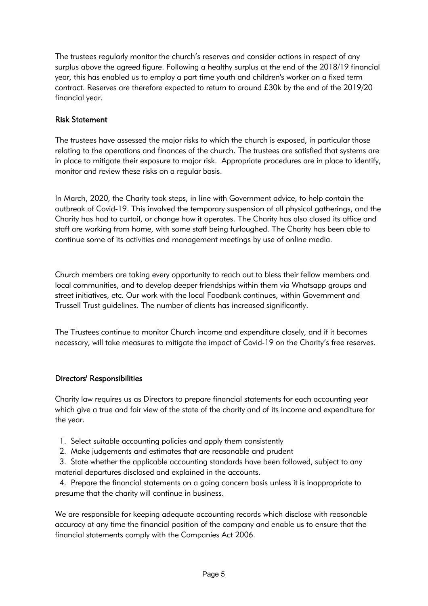The trustees regularly monitor the church's reserves and consider actions in respect of any surplus above the agreed figure. Following a healthy surplus at the end of the 2018/19 financial year, this has enabled us to employ a part time youth and children's worker on a fixed term contract. Reserves are therefore expected to return to around £30k by the end of the 2019/20 financial year.

### Risk Statement

The trustees have assessed the major risks to which the church is exposed, in particular those relating to the operations and finances of the church. The trustees are satisfied that systems are in place to mitigate their exposure to major risk. Appropriate procedures are in place to identify, monitor and review these risks on a regular basis.

In March, 2020, the Charity took steps, in line with Government advice, to help contain the outbreak of Covid-19. This involved the temporary suspension of all physical gatherings, and the Charity has had to curtail, or change how it operates. The Charity has also closed its office and staff are working from home, with some staff being furloughed. The Charity has been able to continue some of its activities and management meetings by use of online media.

Church members are taking every opportunity to reach out to bless their fellow members and local communities, and to develop deeper friendships within them via Whatsapp groups and street initiatives, etc. Our work with the local Foodbank continues, within Government and Trussell Trust guidelines. The number of clients has increased significantly.

The Trustees continue to monitor Church income and expenditure closely, and if it becomes necessary, will take measures to mitigate the impact of Covid-19 on the Charity's free reserves.

### Directors' Responsibilities

Charity law requires us as Directors to prepare financial statements for each accounting year which give a true and fair view of the state of the charity and of its income and expenditure for the year.

- 1. Select suitable accounting policies and apply them consistently
- 2. Make judgements and estimates that are reasonable and prudent

 3. State whether the applicable accounting standards have been followed, subject to any material departures disclosed and explained in the accounts.

 4. Prepare the financial statements on a going concern basis unless it is inappropriate to presume that the charity will continue in business.

We are responsible for keeping adequate accounting records which disclose with reasonable accuracy at any time the financial position of the company and enable us to ensure that the financial statements comply with the Companies Act 2006.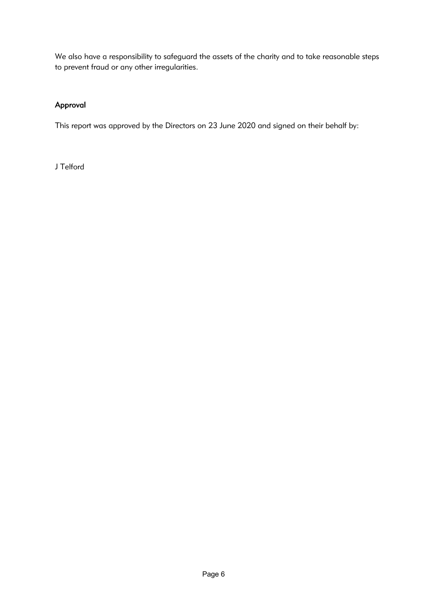We also have a responsibility to safeguard the assets of the charity and to take reasonable steps to prevent fraud or any other irregularities.

### Approval

This report was approved by the Directors on 23 June 2020 and signed on their behalf by:

J Telford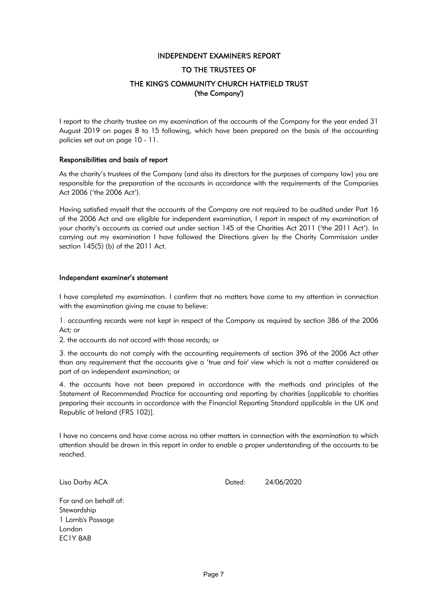### INDEPENDENT EXAMINER'S REPORT

### TO THE TRUSTEES OF

### THE KING'S COMMUNITY CHURCH HATFIELD TRUST ('the Company')

I report to the charity trustee on my examination of the accounts of the Company for the year ended 31 August 2019 on pages 8 to 15 following, which have been prepared on the basis of the accounting policies set out on page 10 - 11.

### Responsibilities and basis of report

As the charity's trustees of the Company (and also its directors for the purposes of company law) you are responsible for the preparation of the accounts in accordance with the requirements of the Companies Act 2006 ('the 2006 Act').

Having satisfied myself that the accounts of the Company are not required to be audited under Part 16 of the 2006 Act and are eligible for independent examination, I report in respect of my examination of your charity's accounts as carried out under section 145 of the Charities Act 2011 ('the 2011 Act'). In carrying out my examination I have followed the Directions given by the Charity Commission under section 145(5) (b) of the 2011 Act.

### Independent examiner's statement

I have completed my examination. I confirm that no matters have come to my attention in connection with the examination giving me cause to believe:

1. accounting records were not kept in respect of the Company as required by section 386 of the 2006 Act; or

2. the accounts do not accord with those records; or

3. the accounts do not comply with the accounting requirements of section 396 of the 2006 Act other than any requirement that the accounts give a 'true and fair' view which is not a matter considered as part of an independent examination; or

4. the accounts have not been prepared in accordance with the methods and principles of the Statement of Recommended Practice for accounting and reporting by charities [applicable to charities preparing their accounts in accordance with the Financial Reporting Standard applicable in the UK and Republic of Ireland (FRS 102)].

I have no concerns and have come across no other matters in connection with the examination to which attention should be drawn in this report in order to enable a proper understanding of the accounts to be reached.

Lisa Darby ACA Dated: 24/06/2020

For and on behalf of: **Stewardship** 1 Lamb's Passage London EC1Y 8AB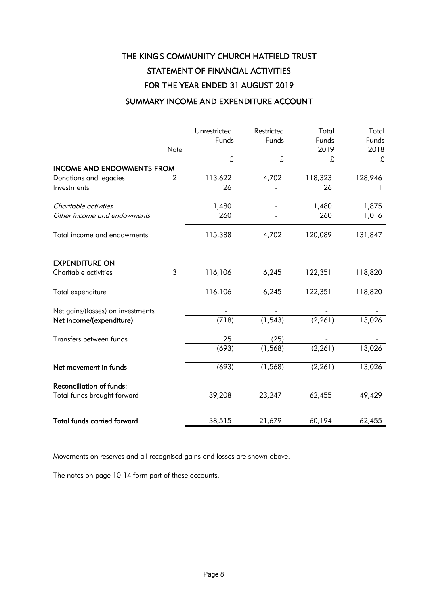### THE KING'S COMMUNITY CHURCH HATFIELD TRUST STATEMENT OF FINANCIAL ACTIVITIES FOR THE YEAR ENDED 31 AUGUST 2019 SUMMARY INCOME AND EXPENDITURE ACCOUNT

### Unrestricted Restricted Total Total Funds Funds Funds Funds Note 2019 2018 £ £ £ £ INCOME AND ENDOWMENTS FROM Donations and legacies 2 113,622 4,702 118,323 128,946 Investments 26 - 26 11 Charitable activities 1,480 - 1,480 1,875 Other income and endowments and  $260$  and  $260$  and  $260$  and  $1,016$ Total income and endowments 115,388 4,702 120,089 131,847 EXPENDITURE ON Charitable activities 3 116,106 6,245 122,351 118,820 Total expenditure 116,106 6,245 122,351 118,820 Net gains/(losses) on investments Net income/(expenditure) (718) (1,543) (2,261) 13,026 Transfers between funds 1988 1998 1998 1998 1999 1999 1998 1999 1999 1999 1999 1999 1999 1999 1999 1999 1999 1 (693) (1,568) (2,261) 13,026 Net movement in funds (693) (1,568) (2,261) 13,026 Reconciliation of funds: Total funds brought forward 39,208 23,247 62,455 49,429 Total funds carried forward 38,515 21,679 60,194 62,455

Movements on reserves and all recognised gains and losses are shown above.

The notes on page 10-14 form part of these accounts.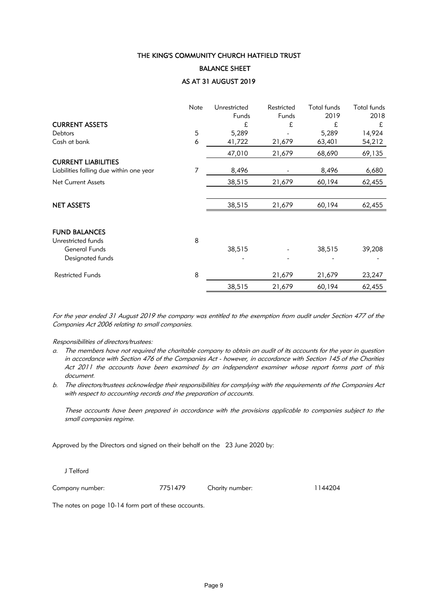### BALANCE SHEET

### AS AT 31 AUGUST 2019

|                                            | Note | Unrestricted | Restricted | <b>Total funds</b> | <b>Total funds</b> |
|--------------------------------------------|------|--------------|------------|--------------------|--------------------|
|                                            |      | Funds        | Funds      | 2019               | 2018               |
| <b>CURRENT ASSETS</b>                      |      | £            | £          | £                  | £                  |
| <b>Debtors</b>                             | 5    | 5,289        |            | 5,289              | 14,924             |
| Cash at bank                               | 6    | 41,722       | 21,679     | 63,401             | 54,212             |
|                                            |      | 47,010       | 21,679     | 68,690             | 69,135             |
| <b>CURRENT LIABILITIES</b>                 |      |              |            |                    |                    |
| Liabilities falling due within one year    | 7    | 8,496        |            | 8,496              | 6,680              |
| <b>Net Current Assets</b>                  |      | 38,515       | 21,679     | 60,194             | 62,455             |
|                                            |      |              |            |                    |                    |
| <b>NET ASSETS</b>                          |      | 38,515       | 21,679     | 60,194             | 62,455             |
|                                            |      |              |            |                    |                    |
| <b>FUND BALANCES</b>                       | 8    |              |            |                    |                    |
| Unrestricted funds<br><b>General Funds</b> |      | 38,515       |            | 38,515             | 39,208             |
| Designated funds                           |      |              |            |                    |                    |
|                                            |      |              |            |                    |                    |
| <b>Restricted Funds</b>                    | 8    |              | 21,679     | 21,679             | 23,247             |
|                                            |      | 38,515       | 21,679     | 60,194             | 62,455             |

For the year ended 31 August 2019 the company was entitled to the exemption from audit under Section 477 of the Companies Act 2006 relating to small companies.

Responsibilities of directors/trustees:

- a. The members have not required the charitable company to obtain an audit of its accounts for the year in question in accordance with Section 476 of the Companies Act - however, in accordance with Section 145 of the Charities Act 2011 the accounts have been examined by an independent examiner whose report forms part of this document.
- b. The directors/trustees acknowledge their responsibilities for complying with the requirements of the Companies Act with respect to accounting records and the preparation of accounts.

These accounts have been prepared in accordance with the provisions applicable to companies subject to the small companies regime.

Approved by the Directors and signed on their behalf on the 23 June 2020 by:

J Telford

Company number: 7751479 Charity number: 1144204

The notes on page 10-14 form part of these accounts.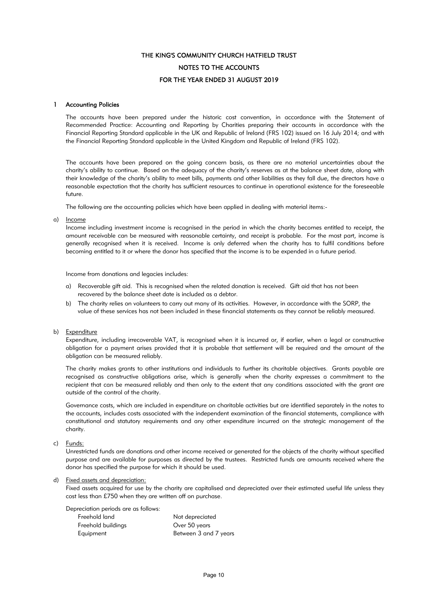### THE KING'S COMMUNITY CHURCH HATFIELD TRUST FOR THE YEAR ENDED 31 AUGUST 2019 NOTES TO THE ACCOUNTS

### 1 Accounting Policies

The accounts have been prepared under the historic cost convention, in accordance with the Statement of Recommended Practice: Accounting and Reporting by Charities preparing their accounts in accordance with the Financial Reporting Standard applicable in the UK and Republic of Ireland (FRS 102) issued on 16 July 2014; and with the Financial Reporting Standard applicable in the United Kingdom and Republic of Ireland (FRS 102).

The accounts have been prepared on the going concern basis, as there are no material uncertainties about the charity's ability to continue. Based on the adequacy of the charity's reserves as at the balance sheet date, along with their knowledge of the charity's ability to meet bills, payments and other liabilities as they fall due, the directors have a reasonable expectation that the charity has sufficient resources to continue in operational existence for the foreseeable future.

The following are the accounting policies which have been applied in dealing with material items:-

a) <u>Income</u>

Income including investment income is recognised in the period in which the charity becomes entitled to receipt, the amount receivable can be measured with reasonable certainty, and receipt is probable. For the most part, income is generally recognised when it is received. Income is only deferred when the charity has to fulfil conditions before becoming entitled to it or where the donor has specified that the income is to be expended in a future period.

Income from donations and legacies includes:

- a) Recoverable gift aid. This is recognised when the related donation is received. Gift aid that has not been recovered by the balance sheet date is included as a debtor.
- b) The charity relies on volunteers to carry out many of its activities. However, in accordance with the SORP, the value of these services has not been included in these financial statements as they cannot be reliably measured.

#### b) Expenditure

Expenditure, including irrecoverable VAT, is recognised when it is incurred or, if earlier, when a legal or constructive obligation for a payment arises provided that it is probable that settlement will be required and the amount of the obligation can be measured reliably.

The charity makes grants to other institutions and individuals to further its charitable objectives. Grants payable are recognised as constructive obligations arise, which is generally when the charity expresses a commitment to the recipient that can be measured reliably and then only to the extent that any conditions associated with the grant are outside of the control of the charity.

Governance costs, which are included in expenditure on charitable activities but are identified separately in the notes to the accounts, includes costs associated with the independent examination of the financial statements, compliance with constitutional and statutory requirements and any other expenditure incurred on the strategic management of the charity.

#### c) Funds:

Unrestricted funds are donations and other income received or generated for the objects of the charity without specified purpose and are available for purposes as directed by the trustees. Restricted funds are amounts received where the donor has specified the purpose for which it should be used.

#### d) Fixed assets and depreciation:

Fixed assets acquired for use by the charity are capitalised and depreciated over their estimated useful life unless they cost less than £750 when they are written off on purchase.

Depreciation periods are as follows:

| Freehold land      | Not depreciated       |
|--------------------|-----------------------|
| Freehold buildings | Over 50 years         |
| Equipment          | Between 3 and 7 years |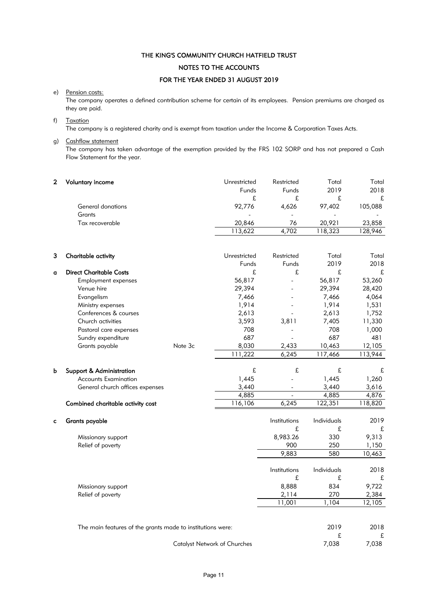### THE KING'S COMMUNITY CHURCH HATFIELD TRUST NOTES TO THE ACCOUNTS

### FOR THE YEAR ENDED 31 AUGUST 2019

### e) Pension costs:

The company operates a defined contribution scheme for certain of its employees. Pension premiums are charged as they are paid.

### f) Taxation

The company is a registered charity and is exempt from taxation under the Income & Corporation Taxes Acts.

### g) Cashflow statement

The company has taken advantage of the exemption provided by the FRS 102 SORP and has not prepared a Cash Flow Statement for the year.

| $\overline{2}$ | <b>Voluntary income</b>                                    | Unrestricted<br>Funds               | Restricted<br>Funds      | Total<br>2019 | Total<br>2018 |
|----------------|------------------------------------------------------------|-------------------------------------|--------------------------|---------------|---------------|
|                |                                                            | £                                   | £                        | £             | £             |
|                | General donations                                          | 92,776                              | 4,626                    | 97,402        | 105,088       |
|                | Grants                                                     |                                     |                          |               |               |
|                | Tax recoverable                                            | 20,846                              | 76                       | 20,921        | 23,858        |
|                |                                                            | 113,622                             | 4,702                    | 118,323       | 128,946       |
|                |                                                            |                                     |                          |               |               |
| 3              | Charitable activity                                        | Unrestricted                        | Restricted               | Total         | Total         |
|                |                                                            | Funds                               | Funds                    | 2019          | 2018          |
| a              | <b>Direct Charitable Costs</b>                             | £                                   | £                        | £             | £             |
|                | <b>Employment expenses</b>                                 | 56,817                              |                          | 56,817        | 53,260        |
|                | Venue hire                                                 | 29,394                              |                          | 29,394        | 28,420        |
|                | Evangelism                                                 | 7,466                               |                          | 7,466         | 4,064         |
|                | Ministry expenses                                          | 1,914                               |                          | 1,914         | 1,531         |
|                | Conferences & courses                                      | 2,613                               |                          | 2,613         | 1,752         |
|                | Church activities                                          | 3,593                               | 3,811                    | 7,405         | 11,330        |
|                | Pastoral care expenses                                     | 708                                 |                          | 708           | 1,000         |
|                | Sundry expenditure                                         | 687                                 |                          | 687           | 481           |
|                | Note 3c<br>Grants payable                                  | 8,030                               | 2,433                    | 10,463        | 12,105        |
|                |                                                            | 111,222                             | 6,245                    | 117,466       | 113,944       |
| b              | Support & Administration                                   | £                                   | £                        | £             | £             |
|                | <b>Accounts Examination</b>                                | 1,445                               |                          | 1,445         | 1,260         |
|                | General church offices expenses                            | 3,440                               | $\overline{\phantom{a}}$ | 3,440         | 3,616         |
|                |                                                            | 4,885                               | $\sim$                   | 4,885         | 4,876         |
|                | Combined charitable activity cost                          | 116,106                             | 6,245                    | 122,351       | 118,820       |
| C              | <b>Grants payable</b>                                      |                                     | Institutions             | Individuals   | 2019          |
|                |                                                            |                                     | £                        | £             | £             |
|                | Missionary support                                         |                                     | 8,983.26                 | 330           | 9,313         |
|                | Relief of poverty                                          |                                     | 900                      | 250           | 1,150         |
|                |                                                            |                                     | 9,883                    | 580           | 10,463        |
|                |                                                            |                                     | Institutions             | Individuals   | 2018          |
|                |                                                            |                                     | £                        | £             |               |
|                |                                                            |                                     |                          |               | £             |
|                | Missionary support                                         |                                     | 8,888                    | 834           | 9,722         |
|                | Relief of poverty                                          |                                     | 2,114                    | 270           | 2,384         |
|                |                                                            |                                     | 11,001                   | 1,104         | 12,105        |
|                | The main features of the grants made to institutions were: |                                     |                          | 2019          | 2018          |
|                |                                                            |                                     |                          | £             | £             |
|                |                                                            | <b>Catalyst Network of Churches</b> |                          | 7,038         | 7,038         |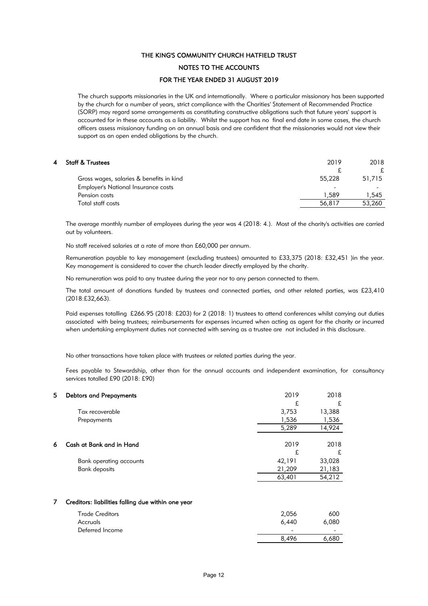### NOTES TO THE ACCOUNTS

### FOR THE YEAR ENDED 31 AUGUST 2019

The church supports missionaries in the UK and internationally. Where a particular missionary has been supported by the church for a number of years, strict compliance with the Charities' Statement of Recommended Practice (SORP) may regard some arrangements as constituting constructive obligations such that future years' support is accounted for in these accounts as a liability. Whilst the support has no final end date in some cases, the church officers assess missionary funding on an annual basis and are confident that the missionaries would not view their support as an open ended obligations by the church.

### 4 Staff & Trustees 2019 2018 £ £ Gross wages, salaries & benefits in kind 55,228 51,715 Employer's National Insurance costs Pension costs and the set of the costs of the costs of the costs of the costs of the costs of the costs of the costs of the costs of the costs of the costs of the costs of the costs of the costs of the costs of the costs o Total staff costs 56,817 53,260

The average monthly number of employees during the year was 4 (2018: 4.). Most of the charity's activities are carried out by volunteers.

No staff received salaries at a rate of more than £60,000 per annum.

Remuneration payable to key management (excluding trustees) amounted to £33,375 (2018: £32,451 )in the year. Key management is considered to cover the church leader directly employed by the charity.

No remuneration was paid to any trustee during the year nor to any person connected to them.

The total amount of donations funded by trustees and connected parties, and other related parties, was £23,410 (2018:£32,663).

Paid expenses totalling £266.95 (2018: £203) for 2 (2018: 1) trustees to attend conferences whilst carrying out duties associated with being trustees; reimbursements for expenses incurred when acting as agent for the charity or incurred when undertaking employment duties not connected with serving as a trustee are not included in this disclosure.

No other transactions have taken place with trustees or related parties during the year.

Fees payable to Stewardship, other than for the annual accounts and independent examination, for consultancy services totalled £90 (2018: £90)

| 5  | <b>Debtors and Prepayments</b>                     | 2019   | 2018   |
|----|----------------------------------------------------|--------|--------|
|    |                                                    | £      | £      |
|    | Tax recoverable                                    | 3,753  | 13,388 |
|    | Prepayments                                        | 1,536  | 1,536  |
|    |                                                    | 5,289  | 14,924 |
|    | Cash at Bank and in Hand                           | 2019   | 2018   |
| 6. |                                                    | £      | £      |
|    | Bank operating accounts                            | 42,191 | 33,028 |
|    | <b>Bank deposits</b>                               | 21,209 | 21,183 |
|    |                                                    | 63,401 | 54,212 |
|    |                                                    |        |        |
| 7  | Creditors: liabilities falling due within one year |        |        |
|    | <b>Trade Creditors</b>                             | 2,056  | 600    |

| Trude Creditors | Z,UJU                    | <u>ovv</u>               |
|-----------------|--------------------------|--------------------------|
| Accruals        | 6,440                    | 6,080                    |
| Deferred Income | $\overline{\phantom{0}}$ | $\overline{\phantom{0}}$ |
|                 | 8,496                    | 6,680                    |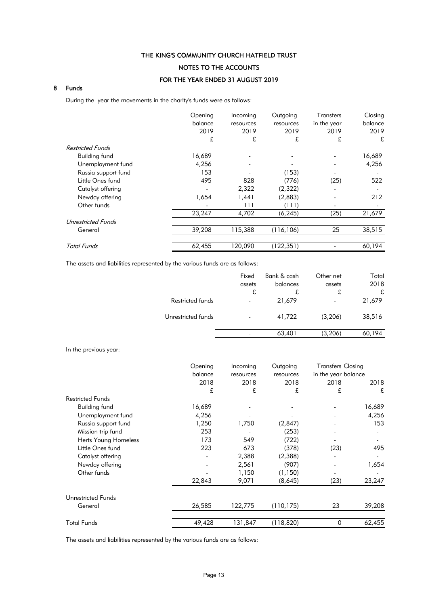### NOTES TO THE ACCOUNTS

### FOR THE YEAR ENDED 31 AUGUST 2019

### 8 Funds

During the year the movements in the charity's funds were as follows:

|                           | Opening<br>balance<br>2019 | Incoming<br>resources<br>2019 | Outgoing<br>resources<br>2019 | <b>Transfers</b><br>in the year<br>2019 | Closing<br>balance<br>2019 |
|---------------------------|----------------------------|-------------------------------|-------------------------------|-----------------------------------------|----------------------------|
|                           | £                          | £                             | £                             | £                                       | £                          |
| <b>Restricted Funds</b>   |                            |                               |                               |                                         |                            |
| <b>Building fund</b>      | 16,689                     |                               |                               |                                         | 16,689                     |
| Unemployment fund         | 4,256                      |                               |                               |                                         | 4,256                      |
| Russia support fund       | 153                        |                               | (153)                         |                                         |                            |
| Little Ones fund          | 495                        | 828                           | (776)                         | (25)                                    | 522                        |
| Catalyst offering         |                            | 2,322                         | (2,322)                       |                                         |                            |
| Newday offering           | 1,654                      | 1,441                         | (2,883)                       |                                         | 212                        |
| Other funds               |                            | 111                           | (111)                         |                                         |                            |
|                           | 23,247                     | 4,702                         | (6, 245)                      | (25)                                    | 21,679                     |
| <b>Unrestricted Funds</b> |                            |                               |                               |                                         |                            |
| General                   | 39,208                     | 115,388                       | (116, 106)                    | 25                                      | 38,515                     |
|                           |                            |                               |                               |                                         |                            |
| <b>Total Funds</b>        | 62,455                     | 120,090                       | (122, 351)                    |                                         | 60,194                     |

The assets and liabilities represented by the various funds are as follows:

|                    | Fixed                    | Bank & cash | Other net                | Total  |
|--------------------|--------------------------|-------------|--------------------------|--------|
|                    | assets                   | balances    | assets                   | 2018   |
|                    | £                        | £           | £                        | £      |
| Restricted funds   | $\overline{\phantom{a}}$ | 21,679      | $\overline{\phantom{a}}$ | 21,679 |
| Unrestricted funds | $\overline{\phantom{a}}$ | 41,722      | (3,206)                  | 38,516 |
|                    |                          | 63,401      | (3,206)                  | 60,194 |

In the previous year:

|                             | Opening | Incoming  | Outgoing   | <b>Transfers Closing</b> |        |
|-----------------------------|---------|-----------|------------|--------------------------|--------|
|                             | balance | resources | resources  | in the year balance      |        |
|                             | 2018    | 2018      | 2018       | 2018                     | 2018   |
|                             | £       | £         | £          | £                        | £      |
| <b>Restricted Funds</b>     |         |           |            |                          |        |
| <b>Building fund</b>        | 16,689  |           |            |                          | 16,689 |
| Unemployment fund           | 4,256   |           |            |                          | 4,256  |
| Russia support fund         | 1,250   | 1,750     | (2,847)    |                          | 153    |
| Mission trip fund           | 253     |           | (253)      |                          |        |
| <b>Herts Young Homeless</b> | 173     | 549       | (722)      |                          |        |
| Little Ones fund            | 223     | 673       | (378)      | (23)                     | 495    |
| Catalyst offering           |         | 2,388     | (2,388)    |                          |        |
| Newday offering             |         | 2,561     | (907)      |                          | 1,654  |
| Other funds                 |         | 1,150     | (1, 150)   |                          |        |
|                             | 22,843  | 9,071     | (8,645)    | (23)                     | 23,247 |
| <b>Unrestricted Funds</b>   |         |           |            |                          |        |
| General                     | 26,585  | 122,775   | (110, 175) | 23                       | 39,208 |
| <b>Total Funds</b>          | 49,428  | 131,847   | (118, 820) | $\mathbf 0$              | 62,455 |

The assets and liabilities represented by the various funds are as follows: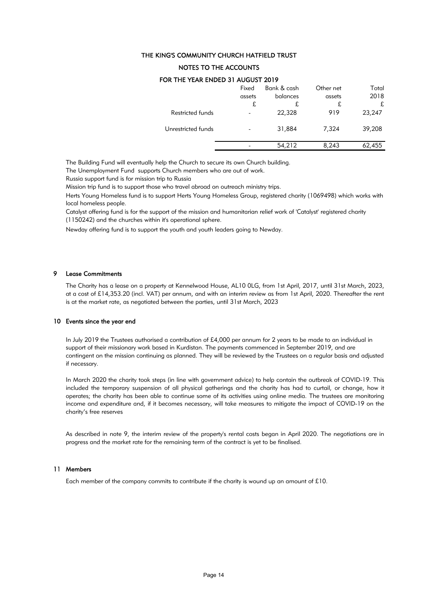### NOTES TO THE ACCOUNTS

|                    | Fixed  | Bank & cash | Other net | Total  |
|--------------------|--------|-------------|-----------|--------|
|                    | assets | balances    | assets    | 2018   |
|                    | £      | £           | £         | £      |
| Restricted funds   |        | 22,328      | 919       | 23,247 |
| Unrestricted funds |        | 31,884      | 7,324     | 39,208 |
|                    |        | 54,212      | 8,243     | 62,455 |

### FOR THE YEAR ENDED 31 AUGUST 2019

The Building Fund will eventually help the Church to secure its own Church building.

The Unemployment Fund supports Church members who are out of work.

Russia support fund is for mission trip to Russia

Mission trip fund is to support those who travel abroad on outreach ministry trips.

Herts Young Homeless fund is to support Herts Young Homeless Group, registered charity (1069498) which works with local homeless people.

Catalyst offering fund is for the support of the mission and humanitarian relief work of 'Catalyst' registered charity (1150242) and the churches within it's operational sphere.

Newday offering fund is to support the youth and youth leaders going to Newday.

### 9 Lease Commitments

The Charity has a lease on a property at Kennelwood House, AL10 0LG, from 1st April, 2017, until 31st March, 2023, at a cost of £14,353.20 (incl. VAT) per annum, and with an interim review as from 1st April, 2020. Thereafter the rent is at the market rate, as negotiated between the parties, until 31st March, 2023

#### 10 Events since the year end

In July 2019 the Trustees authorised a contribution of £4,000 per annum for 2 years to be made to an individual in support of their missionary work based in Kurdistan. The payments commenced in September 2019, and are contingent on the mission continuing as planned. They will be reviewed by the Trustees on a regular basis and adjusted if necessary.

In March 2020 the charity took steps (in line with government advice) to help contain the outbreak of COVID-19. This included the temporary suspension of all physical gatherings and the charity has had to curtail, or change, how it operates; the charity has been able to continue some of its activities using online media. The trustees are monitoring income and expenditure and, if it becomes necessary, will take measures to mitigate the impact of COVID-19 on the charity's free reserves

As described in note 9, the interim review of the property's rental costs began in April 2020. The negotiations are in progress and the market rate for the remaining term of the contract is yet to be finalised.

#### 11 Members

Each member of the company commits to contribute if the charity is wound up an amount of £10.